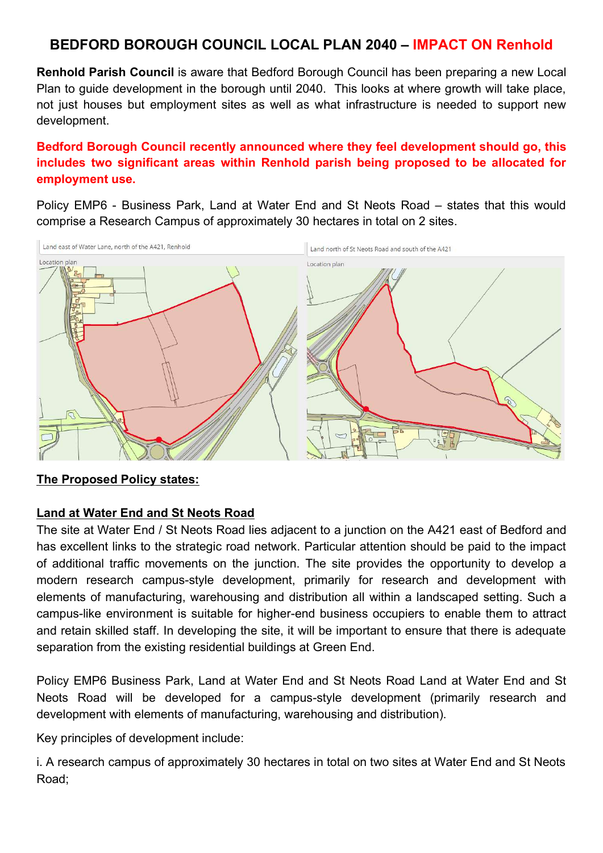### BEDFORD BOROUGH COUNCIL LOCAL PLAN 2040 – IMPACT ON Renhold

Renhold Parish Council is aware that Bedford Borough Council has been preparing a new Local Plan to guide development in the borough until 2040. This looks at where growth will take place, not just houses but employment sites as well as what infrastructure is needed to support new development.

#### Bedford Borough Council recently announced where they feel development should go, this includes two significant areas within Renhold parish being proposed to be allocated for employment use.

Policy EMP6 - Business Park, Land at Water End and St Neots Road – states that this would comprise a Research Campus of approximately 30 hectares in total on 2 sites.



#### The Proposed Policy states:

#### Land at Water End and St Neots Road

The site at Water End / St Neots Road lies adjacent to a junction on the A421 east of Bedford and has excellent links to the strategic road network. Particular attention should be paid to the impact of additional traffic movements on the junction. The site provides the opportunity to develop a modern research campus-style development, primarily for research and development with elements of manufacturing, warehousing and distribution all within a landscaped setting. Such a campus-like environment is suitable for higher-end business occupiers to enable them to attract and retain skilled staff. In developing the site, it will be important to ensure that there is adequate separation from the existing residential buildings at Green End.

Policy EMP6 Business Park, Land at Water End and St Neots Road Land at Water End and St Neots Road will be developed for a campus-style development (primarily research and development with elements of manufacturing, warehousing and distribution).

Key principles of development include:

i. A research campus of approximately 30 hectares in total on two sites at Water End and St Neots Road;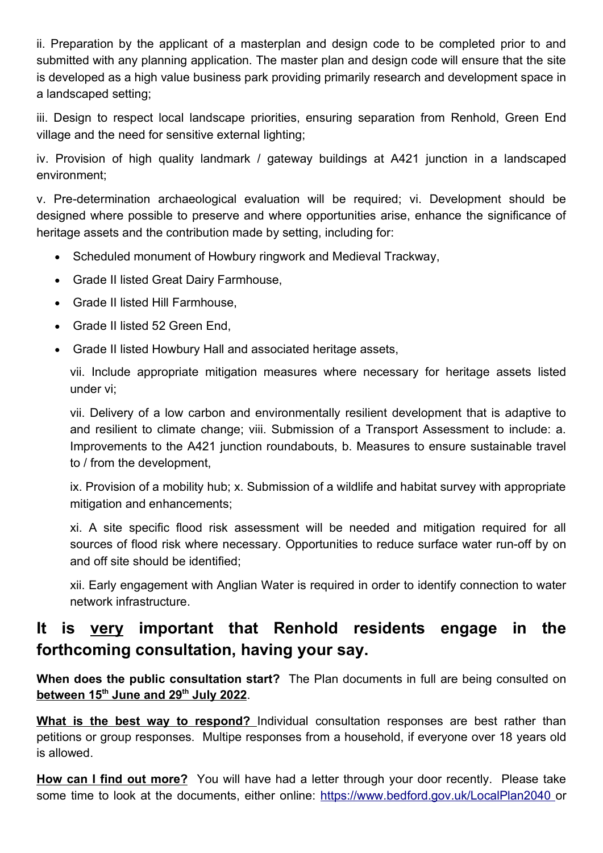ii. Preparation by the applicant of a masterplan and design code to be completed prior to and submitted with any planning application. The master plan and design code will ensure that the site is developed as a high value business park providing primarily research and development space in a landscaped setting;

iii. Design to respect local landscape priorities, ensuring separation from Renhold, Green End village and the need for sensitive external lighting;

iv. Provision of high quality landmark / gateway buildings at A421 junction in a landscaped environment;

v. Pre-determination archaeological evaluation will be required; vi. Development should be designed where possible to preserve and where opportunities arise, enhance the significance of heritage assets and the contribution made by setting, including for:

- Scheduled monument of Howbury ringwork and Medieval Trackway,
- Grade II listed Great Dairy Farmhouse,
- Grade II listed Hill Farmhouse,
- Grade II listed 52 Green End,
- Grade II listed Howbury Hall and associated heritage assets,

vii. Include appropriate mitigation measures where necessary for heritage assets listed under vi;

vii. Delivery of a low carbon and environmentally resilient development that is adaptive to and resilient to climate change; viii. Submission of a Transport Assessment to include: a. Improvements to the A421 junction roundabouts, b. Measures to ensure sustainable travel to / from the development,

ix. Provision of a mobility hub; x. Submission of a wildlife and habitat survey with appropriate mitigation and enhancements;

xi. A site specific flood risk assessment will be needed and mitigation required for all sources of flood risk where necessary. Opportunities to reduce surface water run-off by on and off site should be identified;

xii. Early engagement with Anglian Water is required in order to identify connection to water network infrastructure.

# It is very important that Renhold residents engage in the forthcoming consultation, having your say.

When does the public consultation start? The Plan documents in full are being consulted on between 15<sup>th</sup> June and 29<sup>th</sup> July 2022.

What is the best way to respond? Individual consultation responses are best rather than petitions or group responses. Multipe responses from a household, if everyone over 18 years old is allowed.

**How can I find out more?** You will have had a letter through your door recently. Please take some time to look at the documents, either online: https://www.bedford.gov.uk/LocalPlan2040 or